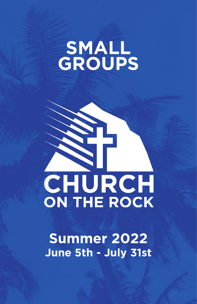# **SMALL GROUPS**

# CHURCH **ON THE ROCK**

**Summer 2022 June 5th - July 31st**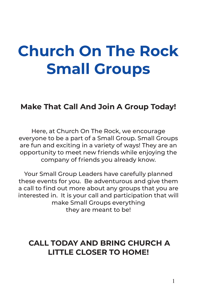# **Church On The Rock Small Groups**

## **Make That Call And Join A Group Today!**

Here, at Church On The Rock, we encourage everyone to be a part of a Small Group. Small Groups are fun and exciting in a variety of ways! They are an opportunity to meet new friends while enjoying the company of friends you already know.

Your Small Group Leaders have carefully planned these events for you. Be adventurous and give them a call to find out more about any groups that you are interested in. It is your call and participation that will make Small Groups everything they are meant to be!

## **CALL TODAY AND BRING CHURCH A LITTLE CLOSER TO HOME!**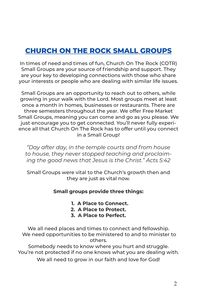## **CHURCH ON THE ROCK SMALL GROUPS**

In times of need and times of fun, Church On The Rock (COTR) Small Groups are your source of friendship and support. They are your key to developing connections with those who share your interests or people who are dealing with similar life issues.

Small Groups are an opportunity to reach out to others, while growing in your walk with the Lord. Most groups meet at least once a month in homes, businesses or restaurants. There are three semesters throughout the year. We offer Free Market Small Groups, meaning you can come and go as you please. We just encourage you to get connected. You'll never fully experience all that Church On The Rock has to offer until you connect in a Small Group!

*"Day after day, in the temple courts and from house to house, they never stopped teaching and proclaiming the good news that Jesus is the Christ." Acts 5:42*

Small Groups were vital to the Church's growth then and they are just as vital now.

#### **Small groups provide three things:**

- **1. A Place to Connect.**
- **2. A Place to Protect.**
- **3. A Place to Perfect.**

We all need places and times to connect and fellowship. We need opportunities to be ministered to and to minister to others.

Somebody needs to know where you hurt and struggle. You're not protected if no one knows what you are dealing with. We all need to grow in our faith and love for God!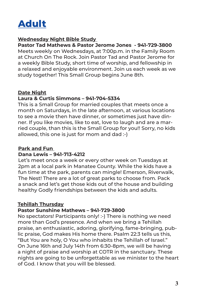

## **Wednesday Night Bible Study**

**Pastor Tad Mathews & Pastor Jerome Jones - 941-729-3800**  Meets weekly on Wednesdays, at 7:00p.m. in the Family Room at Church On The Rock. Join Pastor Tad and Pastor Jerome for a weekly Bible Study, short time of worship, and fellowship in a relaxed and enjoyable environment. Join us each week as we study together! This Small Group begins June 8th.

## **Date Night**

## **Laura & Curtis Simmons – 941-704-5334**

This is a Small Group for married couples that meets once a month on Saturdays, in the late afternoon, at various locations to see a movie then have dinner, or sometimes just have dinner. If you like movies, like to eat, love to laugh and are a married couple, than this is the Small Group for you!! Sorry, no kids allowed, this one is just for mom and dad :-)

## **Park and Fun**

## **Dana Lewis – 941-713-4212**

Let's meet once a week or every other week on Tuesdays at 2pm at a local park in Manatee County. While the kids have a fun time at the park, parents can mingle! Emerson, Riverwalk, The Nest! There are a lot of great parks to choose from. Pack a snack and let's get those kids out of the house and building healthy Godly friendships between the kids and adults.

## **Tehillah Thursday**

## **Pastor Sunshine Mathews – 941-729-3800**

No spectators! Participants only! :-) There is nothing we need more than God's presence. And when we bring a Tehillah praise, an enthusiastic, adoring, glorifying, fame-bringing, public praise, God makes His home there. Psalm 22:3 tells us this, "But You are holy, O You who inhabits the Tehillah of Israel." On June 16th and July 14th from 6:30-8pm, we will be having a night of praise and worship at COTR in the sanctuary. These nights are going to be unforgettable as we minister to the heart of God. I know that you will be blessed.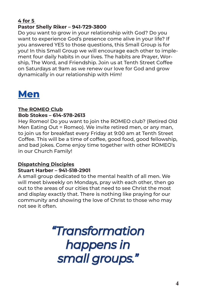## **4 for 5 Pastor Shelly Riker – 941-729-3800**

Do you want to grow in your relationship with God? Do you want to experience God's presence come alive in your life? If you answered YES to those questions, this Small Group is for you! In this Small Group we will encourage each other to implement four daily habits in our lives. The habits are Prayer, Worship, The Word, and Friendship. Join us at Tenth Street Coffee on Saturdays at 9am as we renew our love for God and grow dynamically in our relationship with Him!



## **The ROMEO Club Bob Stokes – 614-578-2613**

Hey Romeo! Do you want to join the ROMEO club? (Retired Old Men Eating Out = Romeo). We invite retired men, or any man, to join us for breakfast every Friday at 9:00 am at Tenth Street Coffee. This will be a time of coffee, good food, good fellowship, and bad jokes. Come enjoy time together with other ROMEO's in our Church Family!

#### **Dispatching Disciples Stuart Harber – 941-518-2901**

A small group dedicated to the mental health of all men. We will meet biweekly on Mondays, pray with each other, then go out to the areas of our cities that need to see Christ the most and display exactly that. There is nothing like praying for our community and showing the love of Christ to those who may not see it often.

## *"Transformation happens in small groups."*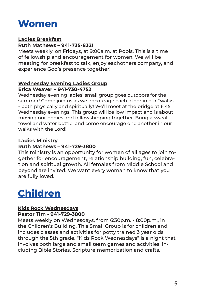

## **Ladies Breakfast**

## **Ruth Mathews – 941-735-8321**

Meets weekly, on Fridays, at 9:00a.m. at Popis. This is a time of fellowship and encouragement for women. We will be meeting for breakfast to talk, enjoy eachothers company, and experience God's presence together!

#### **Wednesday Evening Ladies Group Erica Weaver – 941-730-4752**

Wednesday evening ladies' small group goes outdoors for the summer! Come join us as we encourage each other in our "walks" - both physically and spiritually! We'll meet at the bridge at 6:45 Wednesday evenings. This group will be low impact and is about moving our bodies and fellowshipping together. Bring a sweat towel and water bottle, and come encourage one another in our walks with the Lord!

## **Ladies Ministry**

## **Ruth Mathews – 941-729-3800**

This ministry is an opportunity for women of all ages to join together for encouragement, relationship building, fun, celebration and spiritual growth. All females from Middle School and beyond are invited. We want every woman to know that you are fully loved.

## **Children**

## **Kids Rock Wednesdays**

#### **Pastor Tim - 941-729-3800**

Meets weekly on Wednesdays, from 6:30p.m. - 8:00p.m., in the Children's Building. This Small Group is for children and includes classes and activities for potty trained 3 year olds through the 5th grade. "Kids Rock Wednesdays" is a night that involves both large and small team games and activities, including Bible Stories, Scripture memorization and crafts.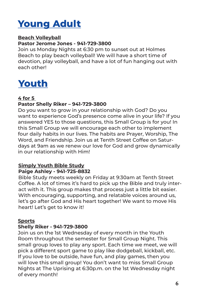## **Young Adult**

## **Beach Volleyball**

## **Pastor Jerome Jones - 941-729-3800**

Join us Monday Nights at 6:30 pm to sunset out at Holmes Beach to play beach volleyball! We will have a short time of devotion, play volleyball, and have a lot of fun hanging out with each other!

## **Youth**

## **4 for 5**

## **Pastor Shelly Riker – 941-729-3800**

Do you want to grow in your relationship with God? Do you want to experience God's presence come alive in your life? If you answered YES to those questions, this Small Group is for you! In this Small Group we will encourage each other to implement four daily habits in our lives. The habits are Prayer, Worship, The Word, and Friendship. Join us at Tenth Street Coffee on Saturdays at 9am as we renew our love for God and grow dynamically in our relationship with Him!

## **Simply Youth Bible Study Paige Ashley - 941-725-8832**

Bible Study meets weekly on Friday at 9:30am at Tenth Street Coffee. A lot of times it's hard to pick up the Bible and truly interact with it. This group makes that process just a little bit easier. With encouraging, supporting, and relatable voices around us, let's go after God and His heart together! We want to move His heart! Let's get to know it!

## **Sports**

## **Shelly Riker - 941-729-3800**

Join us on the 1st Wednesday of every month in the Youth Room throughout the semester for Small Group Night. This small group loves to play any sport. Each time we meet, we will pick a different sport game to play like dodgeball, kickball, etc. If you love to be outside, have fun, and play games, then you will love this small group! You don't want to miss Small Group Nights at The Uprising at 6:30p.m. on the 1st Wednesday night of every month!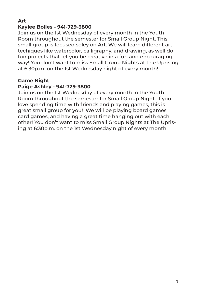## **Art**

## **Kaylee Bolles - 941-729-3800**

Join us on the 1st Wednesday of every month in the Youth Room throughout the semester for Small Group Night. This small group is focused soley on Art. We will learn different art techiques like watercolor, calligraphy, and drawing, as well do fun projects that let you be creative in a fun and encouraging way! You don't want to miss Small Group Nights at The Uprising at 6:30p.m. on the 1st Wednesday night of every month!

## **Game Night**

## **Paige Ashley - 941-729-3800**

Join us on the 1st Wednesday of every month in the Youth Room throughout the semester for Small Group Night. If you love spending time with friends and playing games, this is great small group for you! We will be playing board games, card games, and having a great time hanging out with each other! You don't want to miss Small Group Nights at The Uprising at 6:30p.m. on the 1st Wednesday night of every month!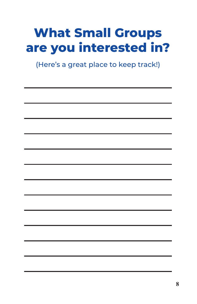## **What Small Groups are you interested in?**

(Here's a great place to keep track!)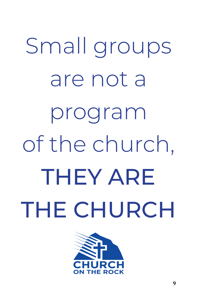Small groups are not a program of the church, THEY ARE THE CHURCH

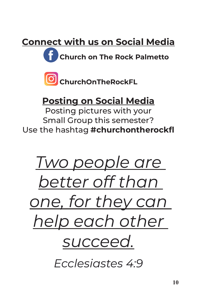**Connect with us on Social Media**

**Church on The Rock Palmetto**



## **Posting on Social Media**

Posting pictures with your Small Group this semester? Use the hashtag **#churchontherockfl**

# *Two people are better off than one, for they can help each other succeed.*

*Ecclesiastes 4:9*